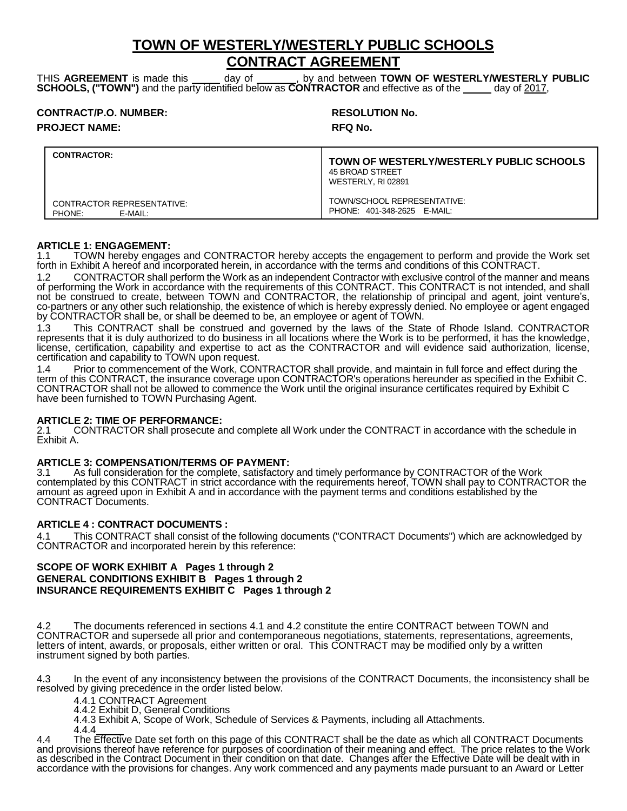## **TOWN OF WESTERLY/WESTERLY PUBLIC SCHOOLS CONTRACT AGREEMENT**

THIS **AGREEMENT** is made this day of , by and between **TOWN OF WESTERLY/WESTERLY PUBLIC SCHOOLS, ("TOWN")** and the party identified below as **CONTRACTOR** and effective as of the day of 2017,

| <b>CONTRACT/P.O. NUMBER:</b> | <b>RESOLU</b>  |
|------------------------------|----------------|
| <b>PROJECT NAME:</b>         | <b>RFQ No.</b> |

## **RESOLUTION No.**

| <b>CONTRACTOR:</b>                              | <b>TOWN OF WESTERLY/WESTERLY PUBLIC SCHOOLS</b><br>45 BROAD STREET<br>WESTERLY, RI 02891 |
|-------------------------------------------------|------------------------------------------------------------------------------------------|
| CONTRACTOR REPRESENTATIVE:<br>PHONE:<br>E-MAIL: | TOWN/SCHOOL REPRESENTATIVE:<br>PHONE: 401-348-2625 E-MAIL:                               |

## **ARTICLE 1: ENGAGEMENT:**

1.1 TOWN hereby engages and CONTRACTOR hereby accepts the engagement to perform and provide the Work set forth in Exhibit A hereof and incorporated herein, in accordance with the terms and conditions of this CONTRACT.

1.2 CONTRACTOR shall perform the Work as an independent Contractor with exclusive control of the manner and means of performing the Work in accordance with the requirements of this CONTRACT. This CONTRACT is not intended, and shall not be construed to create, between TOWN and CONTRACTOR, the relationship of principal and agent, joint venture's, co-partners or any other such relationship, the existence of which is hereby expressly denied. No employee or agent engaged by CONTRACTOR shall be, or shall be deemed to be, an employee or agent of TOWN.

1.3 This CONTRACT shall be construed and governed by the laws of the State of Rhode Island. CONTRACTOR represents that it is duly authorized to do business in all locations where the Work is to be performed, it has the knowledge, license, certification, capability and expertise to act as the CONTRACTOR and will evidence said authorization, license, certification and capability to TOWN upon request.

1.4 Prior to commencement of the Work, CONTRACTOR shall provide, and maintain in full force and effect during the term of this CONTRACT, the insurance coverage upon CONTRACTOR's operations hereunder as specified in the Exhibit C. CONTRACTOR shall not be allowed to commence the Work until the original insurance certificates required by Exhibit C have been furnished to TOWN Purchasing Agent.

# **ARTICLE 2: TIME OF PERFORMANCE:**

2.1 CONTRACTOR shall prosecute and complete all Work under the CONTRACT in accordance with the schedule in Exhibit A.

## **ARTICLE 3: COMPENSATION/TERMS OF PAYMENT:**

3.1 As full consideration for the complete, satisfactory and timely performance by CONTRACTOR of the Work contemplated by this CONTRACT in strict accordance with the requirements hereof, TOWN shall pay to CONTRACTOR the amount as agreed upon in Exhibit A and in accordance with the payment terms and conditions established by the CONTRACT Documents.

## **ARTICLE 4 : CONTRACT DOCUMENTS :**

4.1 This CONTRACT shall consist of the following documents ("CONTRACT Documents") which are acknowledged by CONTRACTOR and incorporated herein by this reference:

### **SCOPE OF WORK EXHIBIT A Pages 1 through 2 GENERAL CONDITIONS EXHIBIT B Pages 1 through 2 INSURANCE REQUIREMENTS EXHIBIT C Pages 1 through 2**

4.2 The documents referenced in sections 4.1 and 4.2 constitute the entire CONTRACT between TOWN and CONTRACTOR and supersede all prior and contemporaneous negotiations, statements, representations, agreements, letters of intent, awards, or proposals, either written or oral. This CONTRACT may be modified only by a written instrument signed by both parties.

4.3 In the event of any inconsistency between the provisions of the CONTRACT Documents, the inconsistency shall be resolved by giving precedence in the order listed below.

4.4.1 CONTRACT Agreement

4.4.2 Exhibit D, General Conditions

4.4.3 Exhibit A, Scope of Work, Schedule of Services & Payments, including all Attachments.

4.4.4 4.4 The Effective Date set forth on this page of this CONTRACT shall be the date as which all CONTRACT Documents and provisions thereof have reference for purposes of coordination of their meaning and effect. The price relates to the Work as described in the Contract Document in their condition on that date. Changes after the Effective Date will be dealt with in accordance with the provisions for changes. Any work commenced and any payments made pursuant to an Award or Letter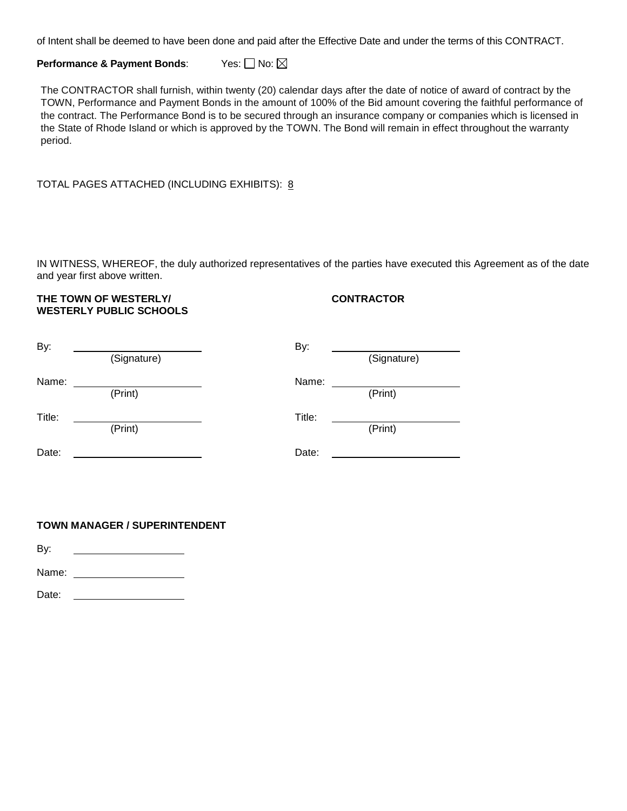of Intent shall be deemed to have been done and paid after the Effective Date and under the terms of this CONTRACT.

**Performance & Payment Bonds:** Yes:  $\Box$  No:  $\boxtimes$ 

The CONTRACTOR shall furnish, within twenty (20) calendar days after the date of notice of award of contract by the TOWN, Performance and Payment Bonds in the amount of 100% of the Bid amount covering the faithful performance of the contract. The Performance Bond is to be secured through an insurance company or companies which is licensed in the State of Rhode Island or which is approved by the TOWN. The Bond will remain in effect throughout the warranty period.

TOTAL PAGES ATTACHED (INCLUDING EXHIBITS): 8

IN WITNESS, WHEREOF, the duly authorized representatives of the parties have executed this Agreement as of the date and year first above written.

## THE TOWN OF WESTERLY/ **CONTRACTOR WESTERLY PUBLIC SCHOOLS**

# By: By: (Signature) (Signature) Name: Name: (Print) (Print) Title: Title: (Print) (Print) Date: Date:

## **TOWN MANAGER / SUPERINTENDENT**

By:

Name:

Date: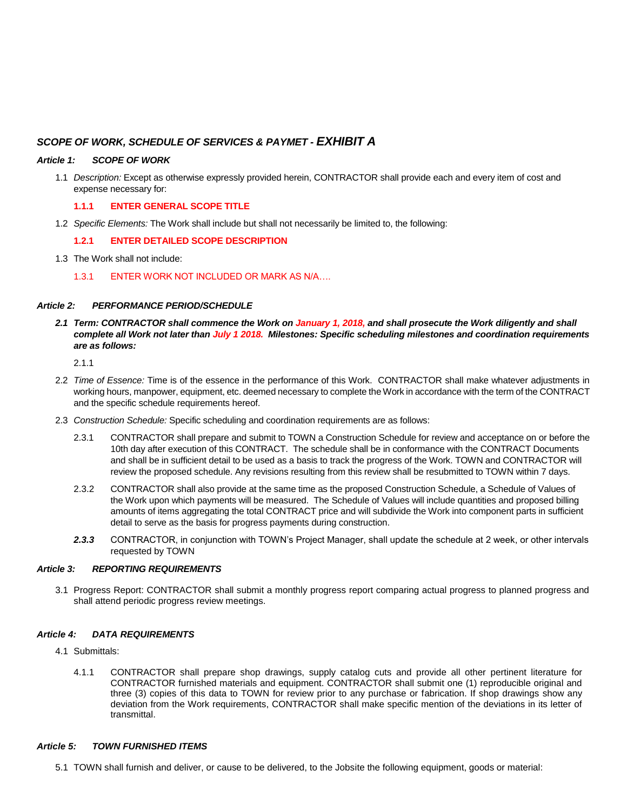## *SCOPE OF WORK, SCHEDULE OF SERVICES & PAYMET - EXHIBIT A*

#### *Article 1: SCOPE OF WORK*

1.1 *Description:* Except as otherwise expressly provided herein, CONTRACTOR shall provide each and every item of cost and expense necessary for:

#### **1.1.1 ENTER GENERAL SCOPE TITLE**

1.2 *Specific Elements:* The Work shall include but shall not necessarily be limited to, the following:

### **1.2.1 ENTER DETAILED SCOPE DESCRIPTION**

- 1.3 The Work shall not include:
	- 1.3.1 ENTER WORK NOT INCLUDED OR MARK AS N/A….

#### *Article 2: PERFORMANCE PERIOD/SCHEDULE*

*2.1 Term: CONTRACTOR shall commence the Work on January 1, 2018, and shall prosecute the Work diligently and shall complete all Work not later than July 1 2018. Milestones: Specific scheduling milestones and coordination requirements are as follows:* 

2.1.1

- 2.2 *Time of Essence:* Time is of the essence in the performance of this Work. CONTRACTOR shall make whatever adjustments in working hours, manpower, equipment, etc. deemed necessary to complete the Work in accordance with the term of the CONTRACT and the specific schedule requirements hereof.
- 2.3 *Construction Schedule:* Specific scheduling and coordination requirements are as follows:
	- 2.3.1 CONTRACTOR shall prepare and submit to TOWN a Construction Schedule for review and acceptance on or before the 10th day after execution of this CONTRACT. The schedule shall be in conformance with the CONTRACT Documents and shall be in sufficient detail to be used as a basis to track the progress of the Work. TOWN and CONTRACTOR will review the proposed schedule. Any revisions resulting from this review shall be resubmitted to TOWN within 7 days.
	- 2.3.2 CONTRACTOR shall also provide at the same time as the proposed Construction Schedule, a Schedule of Values of the Work upon which payments will be measured. The Schedule of Values will include quantities and proposed billing amounts of items aggregating the total CONTRACT price and will subdivide the Work into component parts in sufficient detail to serve as the basis for progress payments during construction.
	- *2.3.3* CONTRACTOR, in conjunction with TOWN's Project Manager, shall update the schedule at 2 week, or other intervals requested by TOWN

#### *Article 3: REPORTING REQUIREMENTS*

3.1 Progress Report: CONTRACTOR shall submit a monthly progress report comparing actual progress to planned progress and shall attend periodic progress review meetings.

#### *Article 4: DATA REQUIREMENTS*

- 4.1 Submittals:
	- 4.1.1 CONTRACTOR shall prepare shop drawings, supply catalog cuts and provide all other pertinent literature for CONTRACTOR furnished materials and equipment. CONTRACTOR shall submit one (1) reproducible original and three (3) copies of this data to TOWN for review prior to any purchase or fabrication. If shop drawings show any deviation from the Work requirements, CONTRACTOR shall make specific mention of the deviations in its letter of transmittal.

#### *Article 5: TOWN FURNISHED ITEMS*

5.1 TOWN shall furnish and deliver, or cause to be delivered, to the Jobsite the following equipment, goods or material: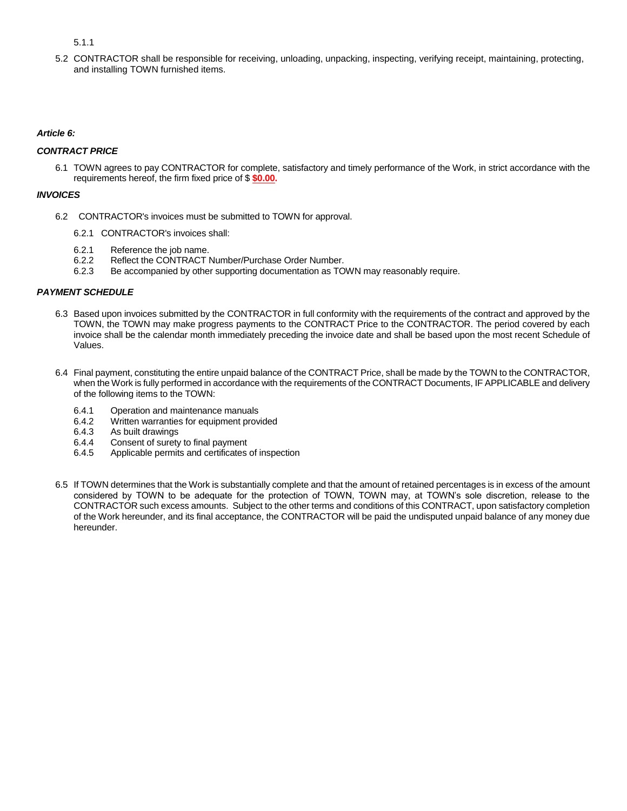5.1.1

5.2 CONTRACTOR shall be responsible for receiving, unloading, unpacking, inspecting, verifying receipt, maintaining, protecting, and installing TOWN furnished items.

#### *Article 6:*

#### *CONTRACT PRICE*

6.1 TOWN agrees to pay CONTRACTOR for complete, satisfactory and timely performance of the Work, in strict accordance with the requirements hereof, the firm fixed price of \$ **\$0.00.**

#### *INVOICES*

- 6.2 CONTRACTOR's invoices must be submitted to TOWN for approval.
	- 6.2.1 CONTRACTOR's invoices shall:
	- 6.2.1 Reference the job name.
	- 6.2.2 Reflect the CONTRACT Number/Purchase Order Number.
	- 6.2.3 Be accompanied by other supporting documentation as TOWN may reasonably require.

#### *PAYMENT SCHEDULE*

- 6.3 Based upon invoices submitted by the CONTRACTOR in full conformity with the requirements of the contract and approved by the TOWN, the TOWN may make progress payments to the CONTRACT Price to the CONTRACTOR. The period covered by each invoice shall be the calendar month immediately preceding the invoice date and shall be based upon the most recent Schedule of Values.
- 6.4 Final payment, constituting the entire unpaid balance of the CONTRACT Price, shall be made by the TOWN to the CONTRACTOR, when the Work is fully performed in accordance with the requirements of the CONTRACT Documents, IF APPLICABLE and delivery of the following items to the TOWN:
	- 6.4.1 Operation and maintenance manuals
	- 6.4.2 Written warranties for equipment provided
	- 6.4.3 As built drawings
	- 6.4.4 Consent of surety to final payment
	- 6.4.5 Applicable permits and certificates of inspection
- 6.5 If TOWN determines that the Work is substantially complete and that the amount of retained percentages is in excess of the amount considered by TOWN to be adequate for the protection of TOWN, TOWN may, at TOWN's sole discretion, release to the CONTRACTOR such excess amounts. Subject to the other terms and conditions of this CONTRACT, upon satisfactory completion of the Work hereunder, and its final acceptance, the CONTRACTOR will be paid the undisputed unpaid balance of any money due hereunder.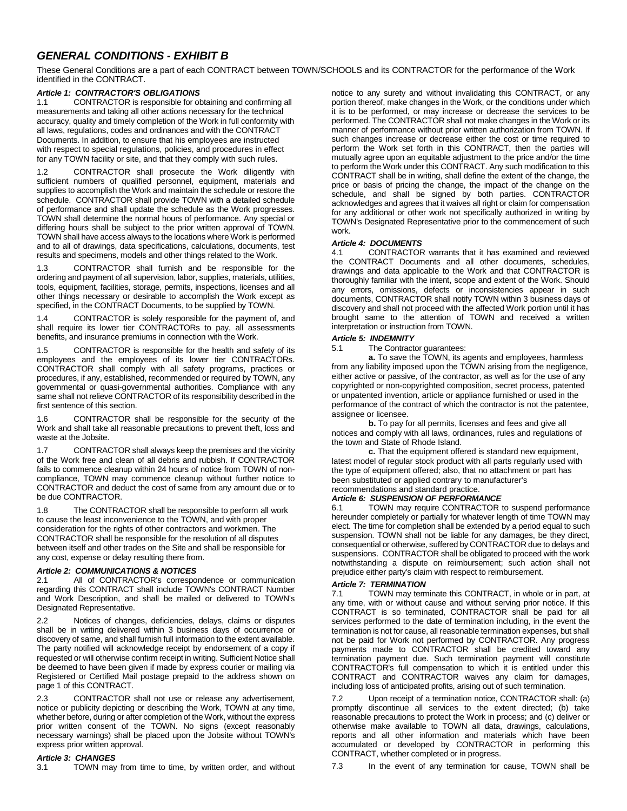## *GENERAL CONDITIONS - EXHIBIT B*

These General Conditions are a part of each CONTRACT between TOWN/SCHOOLS and its CONTRACTOR for the performance of the Work identified in the CONTRACT.

### *Article 1: CONTRACTOR'S OBLIGATIONS*

1.1 CONTRACTOR is responsible for obtaining and confirming all measurements and taking all other actions necessary for the technical accuracy, quality and timely completion of the Work in full conformity with all laws, regulations, codes and ordinances and with the CONTRACT Documents. In addition, to ensure that his employees are instructed with respect to special regulations, policies, and procedures in effect for any TOWN facility or site, and that they comply with such rules.

1.2 CONTRACTOR shall prosecute the Work diligently with sufficient numbers of qualified personnel, equipment, materials and supplies to accomplish the Work and maintain the schedule or restore the schedule. CONTRACTOR shall provide TOWN with a detailed schedule of performance and shall update the schedule as the Work progresses. TOWN shall determine the normal hours of performance. Any special or differing hours shall be subject to the prior written approval of TOWN. TOWN shall have access always to the locations where Work is performed and to all of drawings, data specifications, calculations, documents, test results and specimens, models and other things related to the Work.

1.3 CONTRACTOR shall furnish and be responsible for the ordering and payment of all supervision, labor, supplies, materials, utilities, tools, equipment, facilities, storage, permits, inspections, licenses and all other things necessary or desirable to accomplish the Work except as specified, in the CONTRACT Documents, to be supplied by TOWN.

1.4 CONTRACTOR is solely responsible for the payment of, and shall require its lower tier CONTRACTORs to pay, all assessments benefits, and insurance premiums in connection with the Work.

1.5 CONTRACTOR is responsible for the health and safety of its employees and the employees of its lower tier CONTRACTORs. CONTRACTOR shall comply with all safety programs, practices or procedures, if any, established, recommended or required by TOWN, any governmental or quasi-governmental authorities. Compliance with any same shall not relieve CONTRACTOR of its responsibility described in the first sentence of this section.

1.6 CONTRACTOR shall be responsible for the security of the Work and shall take all reasonable precautions to prevent theft, loss and waste at the Jobsite.

1.7 CONTRACTOR shall always keep the premises and the vicinity of the Work free and clean of all debris and rubbish. If CONTRACTOR fails to commence cleanup within 24 hours of notice from TOWN of noncompliance, TOWN may commence cleanup without further notice to CONTRACTOR and deduct the cost of same from any amount due or to be due CONTRACTOR.

1.8 The CONTRACTOR shall be responsible to perform all work to cause the least inconvenience to the TOWN, and with proper consideration for the rights of other contractors and workmen. The CONTRACTOR shall be responsible for the resolution of all disputes between itself and other trades on the Site and shall be responsible for any cost, expense or delay resulting there from.

#### *Article 2: COMMUNICATIONS & NOTICES*

2.1 All of CONTRACTOR's correspondence or communication regarding this CONTRACT shall include TOWN's CONTRACT Number and Work Description, and shall be mailed or delivered to TOWN's Designated Representative.

Notices of changes, deficiencies, delays, claims or disputes shall be in writing delivered within 3 business days of occurrence or discovery of same, and shall furnish full information to the extent available. The party notified will acknowledge receipt by endorsement of a copy if requested or will otherwise confirm receipt in writing. Sufficient Notice shall be deemed to have been given if made by express courier or mailing via Registered or Certified Mail postage prepaid to the address shown on page 1 of this CONTRACT.

2.3 CONTRACTOR shall not use or release any advertisement, notice or publicity depicting or describing the Work, TOWN at any time, whether before, during or after completion of the Work, without the express prior written consent of the TOWN. No signs (except reasonably necessary warnings) shall be placed upon the Jobsite without TOWN's express prior written approval.

#### *Article 3: CHANGES*

3.1 TOWN may from time to time, by written order, and without

notice to any surety and without invalidating this CONTRACT, or any portion thereof, make changes in the Work, or the conditions under which it is to be performed, or may increase or decrease the services to be performed. The CONTRACTOR shall not make changes in the Work or its manner of performance without prior written authorization from TOWN. If such changes increase or decrease either the cost or time required to perform the Work set forth in this CONTRACT, then the parties will mutually agree upon an equitable adjustment to the price and/or the time to perform the Work under this CONTRACT. Any such modification to this CONTRACT shall be in writing, shall define the extent of the change, the price or basis of pricing the change, the impact of the change on the schedule, and shall be signed by both parties. CONTRACTOR acknowledges and agrees that it waives all right or claim for compensation for any additional or other work not specifically authorized in writing by TOWN's Designated Representative prior to the commencement of such work.

#### *Article 4: DOCUMENTS*

4.1 CONTRACTOR warrants that it has examined and reviewed the CONTRACT Documents and all other documents, schedules, drawings and data applicable to the Work and that CONTRACTOR is thoroughly familiar with the intent, scope and extent of the Work. Should any errors, omissions, defects or inconsistencies appear in such documents, CONTRACTOR shall notify TOWN within 3 business days of discovery and shall not proceed with the affected Work portion until it has brought same to the attention of TOWN and received a written interpretation or instruction from TOWN.

#### *Article 5: INDEMNITY*

5.1 The Contractor guarantees:

**a.** To save the TOWN, its agents and employees, harmless from any liability imposed upon the TOWN arising from the negligence, either active or passive, of the contractor, as well as for the use of any copyrighted or non-copyrighted composition, secret process, patented or unpatented invention, article or appliance furnished or used in the performance of the contract of which the contractor is not the patentee, assignee or licensee.

**b.** To pay for all permits, licenses and fees and give all notices and comply with all laws, ordinances, rules and regulations of the town and State of Rhode Island.

**c.** That the equipment offered is standard new equipment, latest model of regular stock product with all parts regularly used with the type of equipment offered; also, that no attachment or part has been substituted or applied contrary to manufacturer's

## recommendations and standard practice.

*Article 6: SUSPENSION OF PERFORMANCE* TOWN may require CONTRACTOR to suspend performance hereunder completely or partially for whatever length of time TOWN may elect. The time for completion shall be extended by a period equal to such suspension. TOWN shall not be liable for any damages, be they direct, consequential or otherwise, suffered by CONTRACTOR due to delays and suspensions. CONTRACTOR shall be obligated to proceed with the work notwithstanding a dispute on reimbursement; such action shall not prejudice either party's claim with respect to reimbursement.

#### *Article 7: TERMINATION*

7.1 TOWN may terminate this CONTRACT, in whole or in part, at any time, with or without cause and without serving prior notice. If this CONTRACT is so terminated, CONTRACTOR shall be paid for all services performed to the date of termination including, in the event the termination is not for cause, all reasonable termination expenses, but shall not be paid for Work not performed by CONTRACTOR. Any progress payments made to CONTRACTOR shall be credited toward any termination payment due. Such termination payment will constitute CONTRACTOR's full compensation to which it is entitled under this CONTRACT and CONTRACTOR waives any claim for damages, including loss of anticipated profits, arising out of such termination.

7.2 Upon receipt of a termination notice, CONTRACTOR shall: (a) promptly discontinue all services to the extent directed; (b) take reasonable precautions to protect the Work in process; and (c) deliver or otherwise make available to TOWN all data, drawings, calculations, reports and all other information and materials which have been accumulated or developed by CONTRACTOR in performing this CONTRACT, whether completed or in progress.

7.3 In the event of any termination for cause, TOWN shall be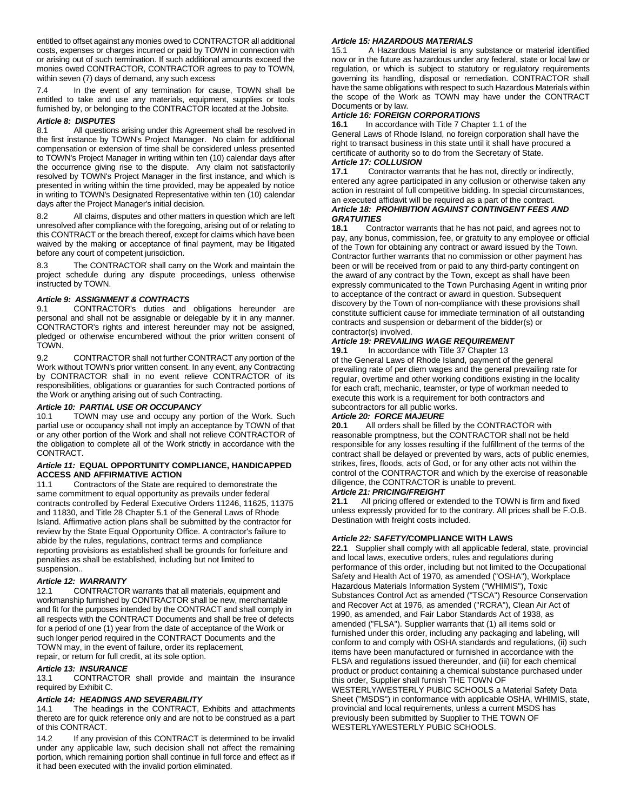entitled to offset against any monies owed to CONTRACTOR all additional costs, expenses or charges incurred or paid by TOWN in connection with or arising out of such termination. If such additional amounts exceed the monies owed CONTRACTOR, CONTRACTOR agrees to pay to TOWN, within seven (7) days of demand, any such excess

7.4 In the event of any termination for cause, TOWN shall be entitled to take and use any materials, equipment, supplies or tools furnished by, or belonging to the CONTRACTOR located at the Jobsite.

#### *Article 8: DISPUTES*

8.1 All questions arising under this Agreement shall be resolved in the first instance by TOWN's Project Manager. No claim for additional compensation or extension of time shall be considered unless presented to TOWN's Project Manager in writing within ten (10) calendar days after the occurrence giving rise to the dispute. Any claim not satisfactorily resolved by TOWN's Project Manager in the first instance, and which is presented in writing within the time provided, may be appealed by notice in writing to TOWN's Designated Representative within ten (10) calendar days after the Project Manager's initial decision.

8.2 All claims, disputes and other matters in question which are left unresolved after compliance with the foregoing, arising out of or relating to this CONTRACT or the breach thereof, except for claims which have been waived by the making or acceptance of final payment, may be litigated before any court of competent jurisdiction.

8.3 The CONTRACTOR shall carry on the Work and maintain the project schedule during any dispute proceedings, unless otherwise instructed by TOWN.

#### *Article 9: ASSIGNMENT & CONTRACTS*

9.1 CONTRACTOR's duties and obligations hereunder are personal and shall not be assignable or delegable by it in any manner. CONTRACTOR's rights and interest hereunder may not be assigned, pledged or otherwise encumbered without the prior written consent of TOWN.

9.2 CONTRACTOR shall not further CONTRACT any portion of the Work without TOWN's prior written consent. In any event, any Contracting by CONTRACTOR shall in no event relieve CONTRACTOR of its responsibilities, obligations or guaranties for such Contracted portions of the Work or anything arising out of such Contracting.

#### *Article 10: PARTIAL USE OR OCCUPANCY*

10.1 TOWN may use and occupy any portion of the Work. Such partial use or occupancy shall not imply an acceptance by TOWN of that or any other portion of the Work and shall not relieve CONTRACTOR of the obligation to complete all of the Work strictly in accordance with the CONTRACT.

## *Article 11:* **EQUAL OPPORTUNITY COMPLIANCE, HANDICAPPED ACCESS AND AFFIRMATIVE ACTION**<br>11.1 Contractors of the State are re

Contractors of the State are required to demonstrate the same commitment to equal opportunity as prevails under federal contracts controlled by Federal Executive Orders 11246, 11625, 11375 and 11830, and Title 28 Chapter 5.1 of the General Laws of Rhode Island. Affirmative action plans shall be submitted by the contractor for review by the State Equal Opportunity Office. A contractor's failure to abide by the rules, regulations, contract terms and compliance reporting provisions as established shall be grounds for forfeiture and penalties as shall be established, including but not limited to suspension..

#### *Article 12: WARRANTY*

12.1 CONTRACTOR warrants that all materials, equipment and workmanship furnished by CONTRACTOR shall be new, merchantable and fit for the purposes intended by the CONTRACT and shall comply in all respects with the CONTRACT Documents and shall be free of defects for a period of one (1) year from the date of acceptance of the Work or such longer period required in the CONTRACT Documents and the TOWN may, in the event of failure, order its replacement, repair, or return for full credit, at its sole option.

#### *Article 13: INSURANCE*

13.1 CONTRACTOR shall provide and maintain the insurance required by Exhibit C.

#### *Article 14: HEADINGS AND SEVERABILITY*

14.1 The headings in the CONTRACT, Exhibits and attachments thereto are for quick reference only and are not to be construed as a part of this CONTRACT.

14.2 If any provision of this CONTRACT is determined to be invalid under any applicable law, such decision shall not affect the remaining portion, which remaining portion shall continue in full force and effect as if it had been executed with the invalid portion eliminated.

#### *Article 15: HAZARDOUS MATERIALS*

15.1 A Hazardous Material is any substance or material identified now or in the future as hazardous under any federal, state or local law or regulation, or which is subject to statutory or regulatory requirements governing its handling, disposal or remediation. CONTRACTOR shall have the same obligations with respect to such Hazardous Materials within the scope of the Work as TOWN may have under the CONTRACT Documents or by law.

#### *Article 16: FOREIGN CORPORATIONS*

**16.1** In accordance with Title 7 Chapter 1.1 of the General Laws of Rhode Island, no foreign corporation shall have the right to transact business in this state until it shall have procured a certificate of authority so to do from the Secretary of State. *Article 17: COLLUSION* 

**17.1** Contractor warrants that he has not, directly or indirectly, entered any agree participated in any collusion or otherwise taken any action in restraint of full competitive bidding. In special circumstances, an executed affidavit will be required as a part of the contract.

#### *Article 18: PROHIBITION AGAINST CONTINGENT FEES AND GRATUITIES*

**18.1** Contractor warrants that he has not paid, and agrees not to pay, any bonus, commission, fee, or gratuity to any employee or official of the Town for obtaining any contract or award issued by the Town. Contractor further warrants that no commission or other payment has been or will be received from or paid to any third-party contingent on the award of any contract by the Town, except as shall have been expressly communicated to the Town Purchasing Agent in writing prior to acceptance of the contract or award in question. Subsequent discovery by the Town of non-compliance with these provisions shall constitute sufficient cause for immediate termination of all outstanding contracts and suspension or debarment of the bidder(s) or contractor(s) involved.

#### *Article 19: PREVAILING WAGE REQUIREMENT*

**19.1** In accordance with Title 37 Chapter 13 of the General Laws of Rhode Island, payment of the general prevailing rate of per diem wages and the general prevailing rate for regular, overtime and other working conditions existing in the locality for each craft, mechanic, teamster, or type of workman needed to execute this work is a requirement for both contractors and subcontractors for all public works.

# *Article 20: FORCE MAJEURE*

**20.1** All orders shall be filled by the CONTRACTOR with reasonable promptness, but the CONTRACTOR shall not be held responsible for any losses resulting if the fulfillment of the terms of the contract shall be delayed or prevented by wars, acts of public enemies, strikes, fires, floods, acts of God, or for any other acts not within the control of the CONTRACTOR and which by the exercise of reasonable diligence, the CONTRACTOR is unable to prevent.

## *Article 21: PRICING/FREIGHT*

**21.1** All pricing offered or extended to the TOWN is firm and fixed unless expressly provided for to the contrary. All prices shall be F.O.B. Destination with freight costs included.

#### *Article 22: SAFETY/***COMPLIANCE WITH LAWS**

**22.1** Supplier shall comply with all applicable federal, state, provincial and local laws, executive orders, rules and regulations during performance of this order, including but not limited to the Occupational Safety and Health Act of 1970, as amended ("OSHA"), Workplace Hazardous Materials Information System ("WHIMIS"), Toxic Substances Control Act as amended ("TSCA") Resource Conservation and Recover Act at 1976, as amended ("RCRA"), Clean Air Act of 1990, as amended, and Fair Labor Standards Act of 1938, as amended ("FLSA"). Supplier warrants that (1) all items sold or furnished under this order, including any packaging and labeling, will conform to and comply with OSHA standards and regulations, (ii) such items have been manufactured or furnished in accordance with the FLSA and regulations issued thereunder, and (iii) for each chemical product or product containing a chemical substance purchased under this order, Supplier shall furnish THE TOWN OF WESTERLY/WESTERLY PUBIC SCHOOLS a Material Safety Data Sheet ("MSDS") in conformance with applicable OSHA, WHIMIS, state, provincial and local requirements, unless a current MSDS has previously been submitted by Supplier to THE TOWN OF WESTERLY/WESTERLY PUBIC SCHOOLS.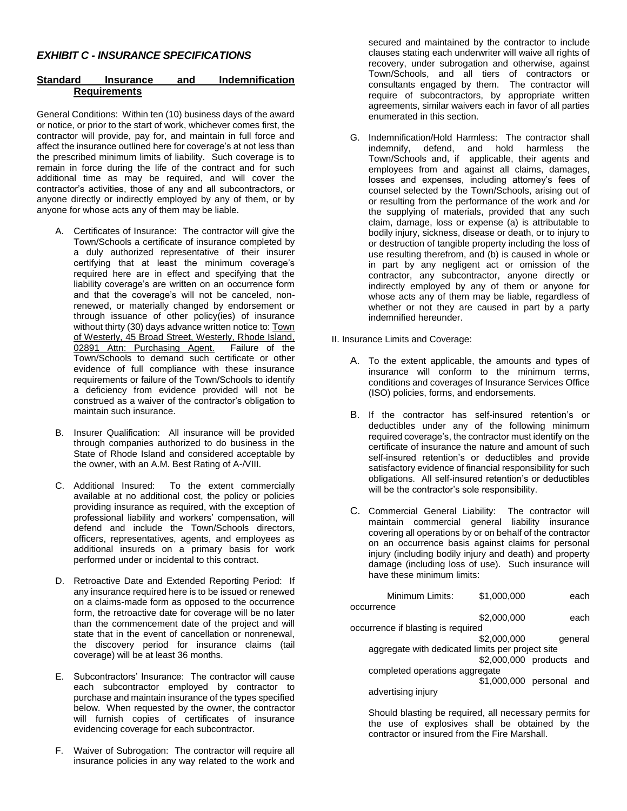## *EXHIBIT C - INSURANCE SPECIFICATIONS*

## **Standard Insurance and Indemnification Requirements**

General Conditions: Within ten (10) business days of the award or notice, or prior to the start of work, whichever comes first, the contractor will provide, pay for, and maintain in full force and affect the insurance outlined here for coverage's at not less than the prescribed minimum limits of liability. Such coverage is to remain in force during the life of the contract and for such additional time as may be required, and will cover the contractor's activities, those of any and all subcontractors, or anyone directly or indirectly employed by any of them, or by anyone for whose acts any of them may be liable.

- A. Certificates of Insurance: The contractor will give the Town/Schools a certificate of insurance completed by a duly authorized representative of their insurer certifying that at least the minimum coverage's required here are in effect and specifying that the liability coverage's are written on an occurrence form and that the coverage's will not be canceled, nonrenewed, or materially changed by endorsement or through issuance of other policy(ies) of insurance without thirty (30) days advance written notice to: **Town** of Westerly, 45 Broad Street, Westerly, Rhode Island, 02891 Attn: Purchasing Agent. Failure of the 02891 Attn: Purchasing Agent. Town/Schools to demand such certificate or other evidence of full compliance with these insurance requirements or failure of the Town/Schools to identify a deficiency from evidence provided will not be construed as a waiver of the contractor's obligation to maintain such insurance.
- B. Insurer Qualification: All insurance will be provided through companies authorized to do business in the State of Rhode Island and considered acceptable by the owner, with an A.M. Best Rating of A-/VIII.
- C. Additional Insured: To the extent commercially available at no additional cost, the policy or policies providing insurance as required, with the exception of professional liability and workers' compensation, will defend and include the Town/Schools directors, officers, representatives, agents, and employees as additional insureds on a primary basis for work performed under or incidental to this contract.
- D. Retroactive Date and Extended Reporting Period: If any insurance required here is to be issued or renewed on a claims-made form as opposed to the occurrence form, the retroactive date for coverage will be no later than the commencement date of the project and will state that in the event of cancellation or nonrenewal, the discovery period for insurance claims (tail coverage) will be at least 36 months.
- E. Subcontractors' Insurance: The contractor will cause each subcontractor employed by contractor to purchase and maintain insurance of the types specified below. When requested by the owner, the contractor will furnish copies of certificates of insurance evidencing coverage for each subcontractor.
- F. Waiver of Subrogation: The contractor will require all insurance policies in any way related to the work and

secured and maintained by the contractor to include clauses stating each underwriter will waive all rights of recovery, under subrogation and otherwise, against Town/Schools, and all tiers of contractors or consultants engaged by them. The contractor will require of subcontractors, by appropriate written agreements, similar waivers each in favor of all parties enumerated in this section.

G. Indemnification/Hold Harmless: The contractor shall indemnify, defend, and hold harmless the Town/Schools and, if applicable, their agents and employees from and against all claims, damages, losses and expenses, including attorney's fees of counsel selected by the Town/Schools, arising out of or resulting from the performance of the work and /or the supplying of materials, provided that any such claim, damage, loss or expense (a) is attributable to bodily injury, sickness, disease or death, or to injury to or destruction of tangible property including the loss of use resulting therefrom, and (b) is caused in whole or in part by any negligent act or omission of the contractor, any subcontractor, anyone directly or indirectly employed by any of them or anyone for whose acts any of them may be liable, regardless of whether or not they are caused in part by a party indemnified hereunder.

II. Insurance Limits and Coverage:

- A. To the extent applicable, the amounts and types of insurance will conform to the minimum terms, conditions and coverages of Insurance Services Office (ISO) policies, forms, and endorsements.
- B. If the contractor has self-insured retention's or deductibles under any of the following minimum required coverage's, the contractor must identify on the certificate of insurance the nature and amount of such self-insured retention's or deductibles and provide satisfactory evidence of financial responsibility for such obligations. All self-insured retention's or deductibles will be the contractor's sole responsibility.
- C. Commercial General Liability: The contractor will maintain commercial general liability insurance covering all operations by or on behalf of the contractor on an occurrence basis against claims for personal injury (including bodily injury and death) and property damage (including loss of use). Such insurance will have these minimum limits:

| Minimum Limits:                                  | \$1,000,000              | each    |
|--------------------------------------------------|--------------------------|---------|
| occurrence                                       |                          |         |
|                                                  | \$2,000,000              | each    |
| occurrence if blasting is required               |                          |         |
|                                                  | \$2,000,000              | general |
| aggregate with dedicated limits per project site |                          |         |
|                                                  | \$2,000,000 products and |         |
| completed operations aggregate                   |                          |         |
|                                                  | \$1,000,000 personal and |         |
| advertising injury                               |                          |         |
|                                                  |                          |         |

Should blasting be required, all necessary permits for the use of explosives shall be obtained by the contractor or insured from the Fire Marshall.